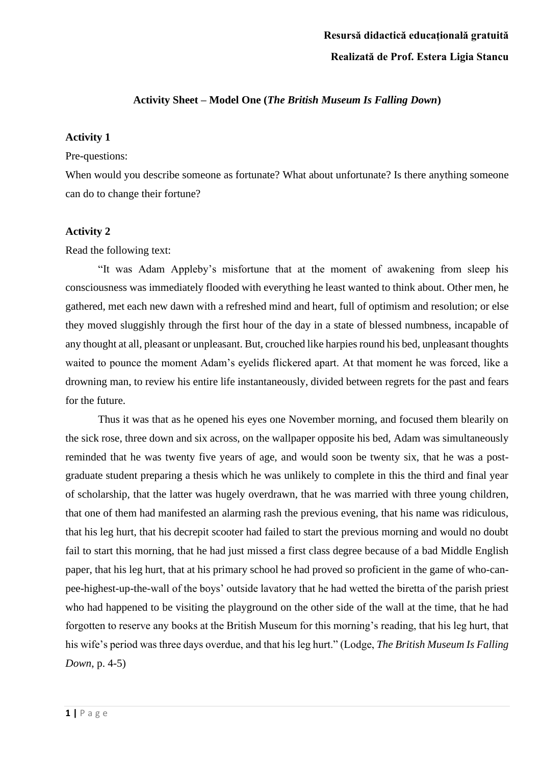**Realizată de Prof. Estera Ligia Stancu**

## **Activity Sheet – Model One (***The British Museum Is Falling Down***)**

### **Activity 1**

#### Pre-questions:

When would you describe someone as fortunate? What about unfortunate? Is there anything someone can do to change their fortune?

### **Activity 2**

Read the following text:

"It was Adam Appleby's misfortune that at the moment of awakening from sleep his consciousness was immediately flooded with everything he least wanted to think about. Other men, he gathered, met each new dawn with a refreshed mind and heart, full of optimism and resolution; or else they moved sluggishly through the first hour of the day in a state of blessed numbness, incapable of any thought at all, pleasant or unpleasant. But, crouched like harpies round his bed, unpleasant thoughts waited to pounce the moment Adam's eyelids flickered apart. At that moment he was forced, like a drowning man, to review his entire life instantaneously, divided between regrets for the past and fears for the future.

Thus it was that as he opened his eyes one November morning, and focused them blearily on the sick rose, three down and six across, on the wallpaper opposite his bed, Adam was simultaneously reminded that he was twenty five years of age, and would soon be twenty six, that he was a postgraduate student preparing a thesis which he was unlikely to complete in this the third and final year of scholarship, that the latter was hugely overdrawn, that he was married with three young children, that one of them had manifested an alarming rash the previous evening, that his name was ridiculous, that his leg hurt, that his decrepit scooter had failed to start the previous morning and would no doubt fail to start this morning, that he had just missed a first class degree because of a bad Middle English paper, that his leg hurt, that at his primary school he had proved so proficient in the game of who-canpee-highest-up-the-wall of the boys' outside lavatory that he had wetted the biretta of the parish priest who had happened to be visiting the playground on the other side of the wall at the time, that he had forgotten to reserve any books at the British Museum for this morning's reading, that his leg hurt, that his wife's period was three days overdue, and that his leg hurt." (Lodge, *The British Museum Is Falling Down*, p. 4-5)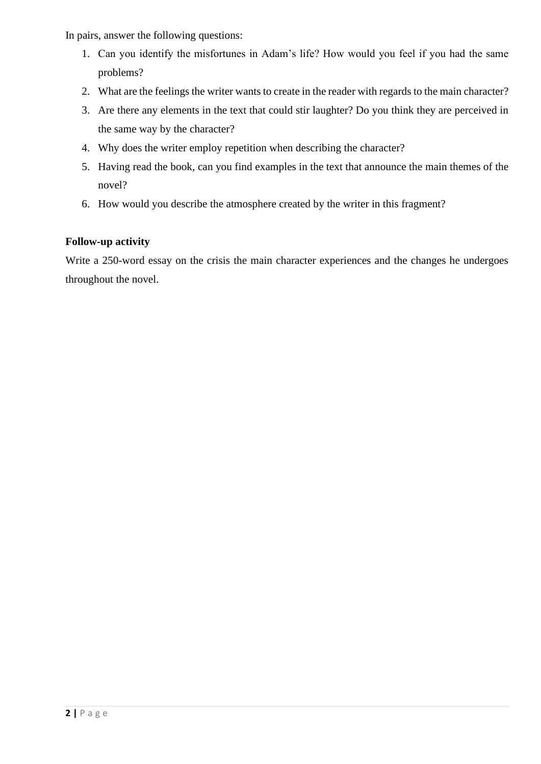In pairs, answer the following questions:

- 1. Can you identify the misfortunes in Adam's life? How would you feel if you had the same problems?
- 2. What are the feelings the writer wants to create in the reader with regards to the main character?
- 3. Are there any elements in the text that could stir laughter? Do you think they are perceived in the same way by the character?
- 4. Why does the writer employ repetition when describing the character?
- 5. Having read the book, can you find examples in the text that announce the main themes of the novel?
- 6. How would you describe the atmosphere created by the writer in this fragment?

# **Follow-up activity**

Write a 250-word essay on the crisis the main character experiences and the changes he undergoes throughout the novel.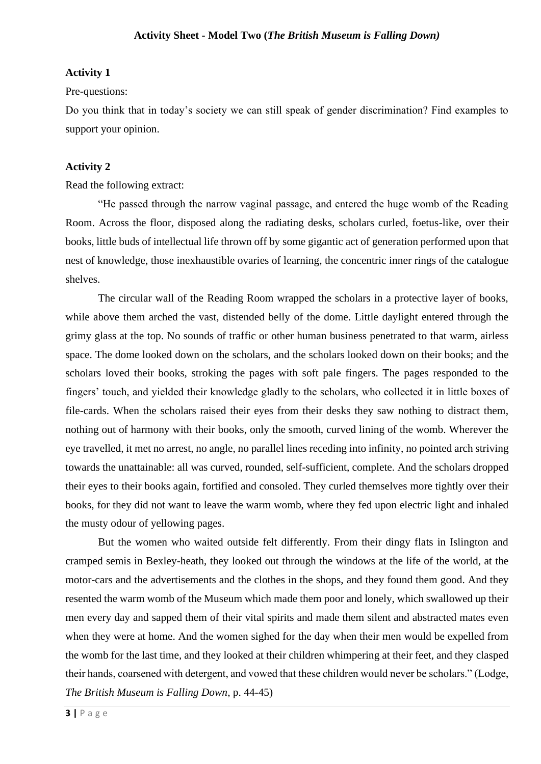#### **Activity 1**

Pre-questions:

Do you think that in today's society we can still speak of gender discrimination? Find examples to support your opinion.

### **Activity 2**

Read the following extract:

"He passed through the narrow vaginal passage, and entered the huge womb of the Reading Room. Across the floor, disposed along the radiating desks, scholars curled, foetus-like, over their books, little buds of intellectual life thrown off by some gigantic act of generation performed upon that nest of knowledge, those inexhaustible ovaries of learning, the concentric inner rings of the catalogue shelves.

The circular wall of the Reading Room wrapped the scholars in a protective layer of books, while above them arched the vast, distended belly of the dome. Little daylight entered through the grimy glass at the top. No sounds of traffic or other human business penetrated to that warm, airless space. The dome looked down on the scholars, and the scholars looked down on their books; and the scholars loved their books, stroking the pages with soft pale fingers. The pages responded to the fingers' touch, and yielded their knowledge gladly to the scholars, who collected it in little boxes of file-cards. When the scholars raised their eyes from their desks they saw nothing to distract them, nothing out of harmony with their books, only the smooth, curved lining of the womb. Wherever the eye travelled, it met no arrest, no angle, no parallel lines receding into infinity, no pointed arch striving towards the unattainable: all was curved, rounded, self-sufficient, complete. And the scholars dropped their eyes to their books again, fortified and consoled. They curled themselves more tightly over their books, for they did not want to leave the warm womb, where they fed upon electric light and inhaled the musty odour of yellowing pages.

But the women who waited outside felt differently. From their dingy flats in Islington and cramped semis in Bexley-heath, they looked out through the windows at the life of the world, at the motor-cars and the advertisements and the clothes in the shops, and they found them good. And they resented the warm womb of the Museum which made them poor and lonely, which swallowed up their men every day and sapped them of their vital spirits and made them silent and abstracted mates even when they were at home. And the women sighed for the day when their men would be expelled from the womb for the last time, and they looked at their children whimpering at their feet, and they clasped their hands, coarsened with detergent, and vowed that these children would never be scholars." (Lodge, *The British Museum is Falling Down*, p. 44-45)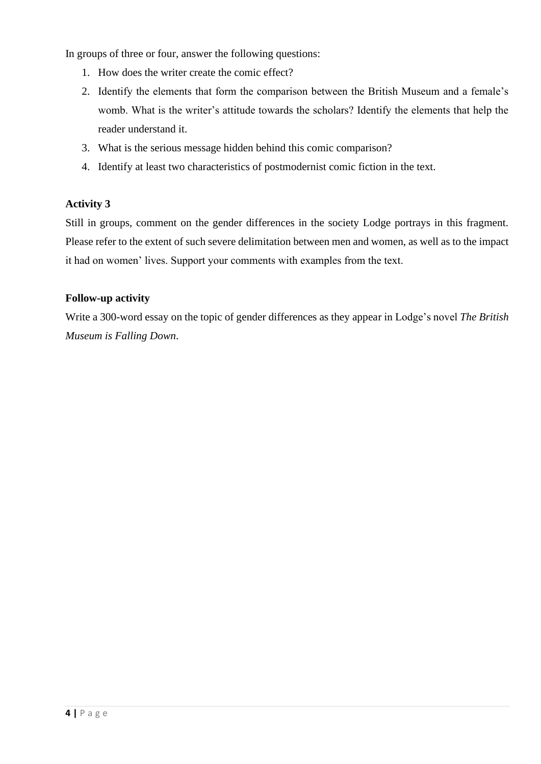In groups of three or four, answer the following questions:

- 1. How does the writer create the comic effect?
- 2. Identify the elements that form the comparison between the British Museum and a female's womb. What is the writer's attitude towards the scholars? Identify the elements that help the reader understand it.
- 3. What is the serious message hidden behind this comic comparison?
- 4. Identify at least two characteristics of postmodernist comic fiction in the text.

# **Activity 3**

Still in groups, comment on the gender differences in the society Lodge portrays in this fragment. Please refer to the extent of such severe delimitation between men and women, as well as to the impact it had on women' lives. Support your comments with examples from the text.

# **Follow-up activity**

Write a 300-word essay on the topic of gender differences as they appear in Lodge's novel *The British Museum is Falling Down*.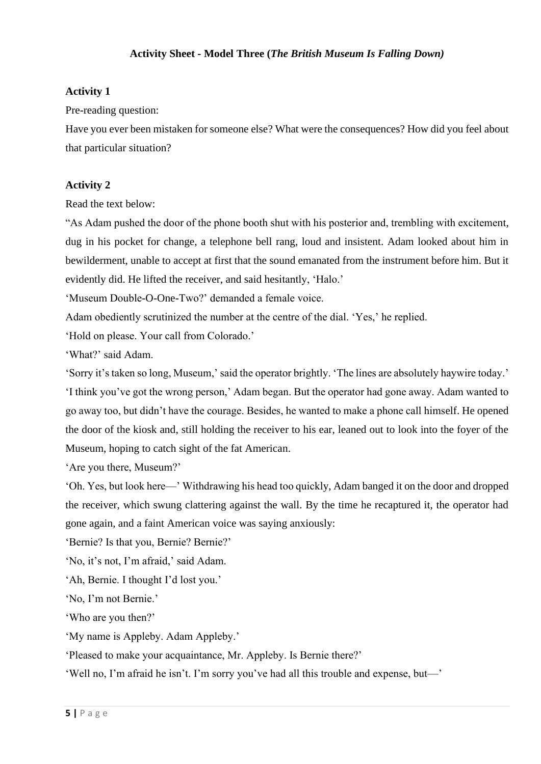### **Activity Sheet - Model Three (***The British Museum Is Falling Down)*

### **Activity 1**

Pre-reading question:

Have you ever been mistaken for someone else? What were the consequences? How did you feel about that particular situation?

## **Activity 2**

Read the text below:

"As Adam pushed the door of the phone booth shut with his posterior and, trembling with excitement, dug in his pocket for change, a telephone bell rang, loud and insistent. Adam looked about him in bewilderment, unable to accept at first that the sound emanated from the instrument before him. But it evidently did. He lifted the receiver, and said hesitantly, 'Halo.'

'Museum Double-O-One-Two?' demanded a female voice.

Adam obediently scrutinized the number at the centre of the dial. 'Yes,' he replied.

'Hold on please. Your call from Colorado.'

'What?' said Adam.

'Sorry it's taken so long, Museum,' said the operator brightly. 'The lines are absolutely haywire today.' 'I think you've got the wrong person,' Adam began. But the operator had gone away. Adam wanted to go away too, but didn't have the courage. Besides, he wanted to make a phone call himself. He opened the door of the kiosk and, still holding the receiver to his ear, leaned out to look into the foyer of the Museum, hoping to catch sight of the fat American.

'Are you there, Museum?'

'Oh. Yes, but look here—' Withdrawing his head too quickly, Adam banged it on the door and dropped the receiver, which swung clattering against the wall. By the time he recaptured it, the operator had gone again, and a faint American voice was saying anxiously:

'Bernie? Is that you, Bernie? Bernie?'

'No, it's not, I'm afraid,' said Adam.

'Ah, Bernie. I thought I'd lost you.'

'No, I'm not Bernie.'

'Who are you then?'

'My name is Appleby. Adam Appleby.'

'Pleased to make your acquaintance, Mr. Appleby. Is Bernie there?'

'Well no, I'm afraid he isn't. I'm sorry you've had all this trouble and expense, but—'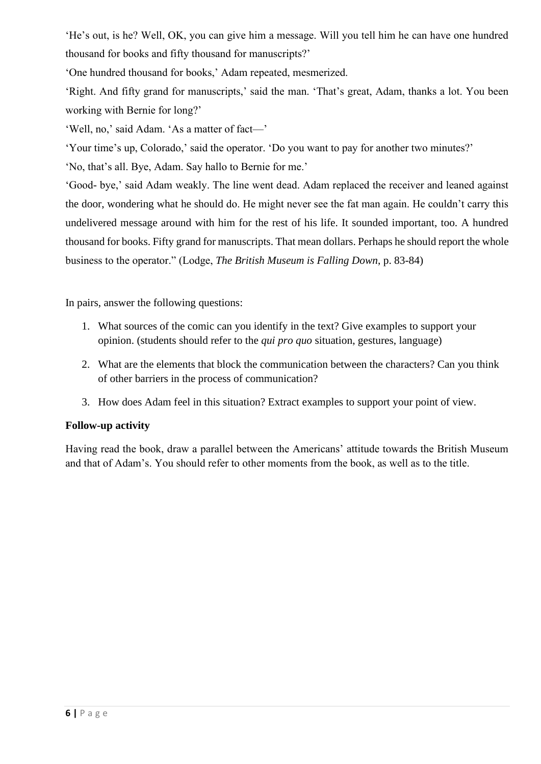'He's out, is he? Well, OK, you can give him a message. Will you tell him he can have one hundred thousand for books and fifty thousand for manuscripts?'

'One hundred thousand for books,' Adam repeated, mesmerized.

'Right. And fifty grand for manuscripts,' said the man. 'That's great, Adam, thanks a lot. You been working with Bernie for long?'

'Well, no,' said Adam. 'As a matter of fact—'

'Your time's up, Colorado,' said the operator. 'Do you want to pay for another two minutes?'

'No, that's all. Bye, Adam. Say hallo to Bernie for me.'

'Good- bye,' said Adam weakly. The line went dead. Adam replaced the receiver and leaned against the door, wondering what he should do. He might never see the fat man again. He couldn't carry this undelivered message around with him for the rest of his life. It sounded important, too. A hundred thousand for books. Fifty grand for manuscripts. That mean dollars. Perhaps he should report the whole business to the operator." (Lodge, *The British Museum is Falling Down*, p. 83-84)

In pairs, answer the following questions:

- 1. What sources of the comic can you identify in the text? Give examples to support your opinion. (students should refer to the *qui pro quo* situation, gestures, language)
- 2. What are the elements that block the communication between the characters? Can you think of other barriers in the process of communication?
- 3. How does Adam feel in this situation? Extract examples to support your point of view.

# **Follow-up activity**

Having read the book, draw a parallel between the Americans' attitude towards the British Museum and that of Adam's. You should refer to other moments from the book, as well as to the title.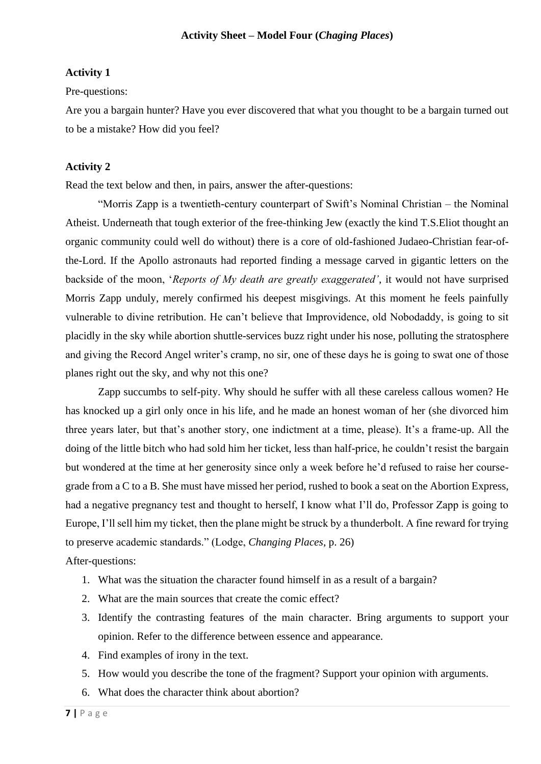### **Activity 1**

Pre-questions:

Are you a bargain hunter? Have you ever discovered that what you thought to be a bargain turned out to be a mistake? How did you feel?

### **Activity 2**

Read the text below and then, in pairs, answer the after-questions:

"Morris Zapp is a twentieth-century counterpart of Swift's Nominal Christian – the Nominal Atheist. Underneath that tough exterior of the free-thinking Jew (exactly the kind T.S.Eliot thought an organic community could well do without) there is a core of old-fashioned Judaeo-Christian fear-ofthe-Lord. If the Apollo astronauts had reported finding a message carved in gigantic letters on the backside of the moon, '*Reports of My death are greatly exaggerated'*, it would not have surprised Morris Zapp unduly, merely confirmed his deepest misgivings. At this moment he feels painfully vulnerable to divine retribution. He can't believe that Improvidence, old Nobodaddy, is going to sit placidly in the sky while abortion shuttle-services buzz right under his nose, polluting the stratosphere and giving the Record Angel writer's cramp, no sir, one of these days he is going to swat one of those planes right out the sky, and why not this one?

Zapp succumbs to self-pity. Why should he suffer with all these careless callous women? He has knocked up a girl only once in his life, and he made an honest woman of her (she divorced him three years later, but that's another story, one indictment at a time, please). It's a frame-up. All the doing of the little bitch who had sold him her ticket, less than half-price, he couldn't resist the bargain but wondered at the time at her generosity since only a week before he'd refused to raise her coursegrade from a C to a B. She must have missed her period, rushed to book a seat on the Abortion Express, had a negative pregnancy test and thought to herself, I know what I'll do, Professor Zapp is going to Europe, I'll sell him my ticket, then the plane might be struck by a thunderbolt. A fine reward for trying to preserve academic standards." (Lodge, *Changing Places*, p. 26)

After-questions:

- 1. What was the situation the character found himself in as a result of a bargain?
- 2. What are the main sources that create the comic effect?
- 3. Identify the contrasting features of the main character. Bring arguments to support your opinion. Refer to the difference between essence and appearance.
- 4. Find examples of irony in the text.
- 5. How would you describe the tone of the fragment? Support your opinion with arguments.
- 6. What does the character think about abortion?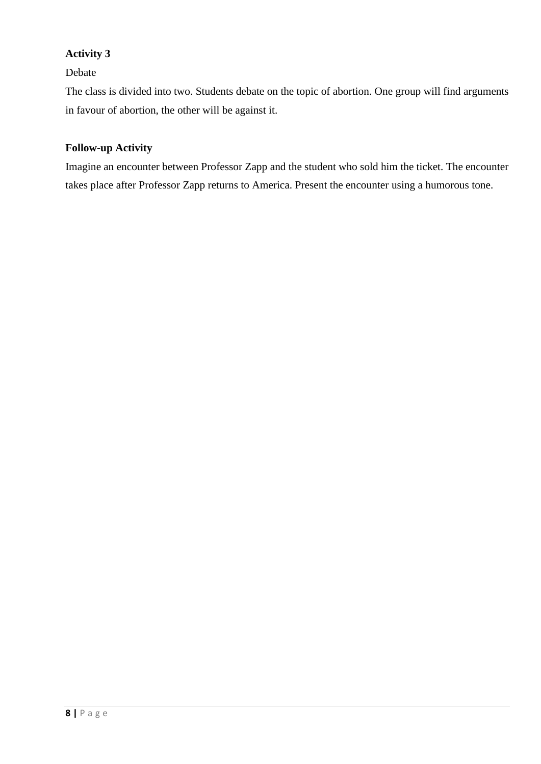# **Activity 3**

Debate

The class is divided into two. Students debate on the topic of abortion. One group will find arguments in favour of abortion, the other will be against it.

# **Follow-up Activity**

Imagine an encounter between Professor Zapp and the student who sold him the ticket. The encounter takes place after Professor Zapp returns to America. Present the encounter using a humorous tone.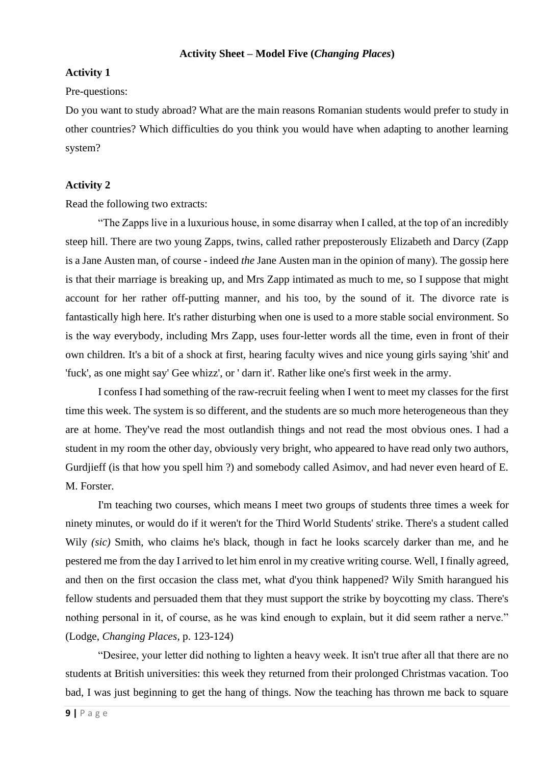### **Activity Sheet – Model Five (***Changing Places***)**

#### **Activity 1**

#### Pre-questions:

Do you want to study abroad? What are the main reasons Romanian students would prefer to study in other countries? Which difficulties do you think you would have when adapting to another learning system?

#### **Activity 2**

Read the following two extracts:

"The Zapps live in a luxurious house, in some disarray when I called, at the top of an incredibly steep hill. There are two young Zapps, twins, called rather preposterously Elizabeth and Darcy (Zapp is a Jane Austen man, of course - indeed *the* Jane Austen man in the opinion of many). The gossip here is that their marriage is breaking up, and Mrs Zapp intimated as much to me, so I suppose that might account for her rather off-putting manner, and his too, by the sound of it. The divorce rate is fantastically high here. It's rather disturbing when one is used to a more stable social environment. So is the way everybody, including Mrs Zapp, uses four-letter words all the time, even in front of their own children. It's a bit of a shock at first, hearing faculty wives and nice young girls saying 'shit' and 'fuck', as one might say' Gee whizz', or ' darn it'. Rather like one's first week in the army.

I confess I had something of the raw-recruit feeling when I went to meet my classes for the first time this week. The system is so different, and the students are so much more heterogeneous than they are at home. They've read the most outlandish things and not read the most obvious ones. I had a student in my room the other day, obviously very bright, who appeared to have read only two authors, Gurdjieff (is that how you spell him ?) and somebody called Asimov, and had never even heard of E. M. Forster.

I'm teaching two courses, which means I meet two groups of students three times a week for ninety minutes, or would do if it weren't for the Third World Students' strike. There's a student called Wily *(sic)* Smith, who claims he's black, though in fact he looks scarcely darker than me, and he pestered me from the day I arrived to let him enrol in my creative writing course. Well, I finally agreed, and then on the first occasion the class met, what d'you think happened? Wily Smith harangued his fellow students and persuaded them that they must support the strike by boycotting my class. There's nothing personal in it, of course, as he was kind enough to explain, but it did seem rather a nerve." (Lodge, *Changing Places*, p. 123-124)

"Desiree, your letter did nothing to lighten a heavy week. It isn't true after all that there are no students at British universities: this week they returned from their prolonged Christmas vacation. Too bad, I was just beginning to get the hang of things. Now the teaching has thrown me back to square